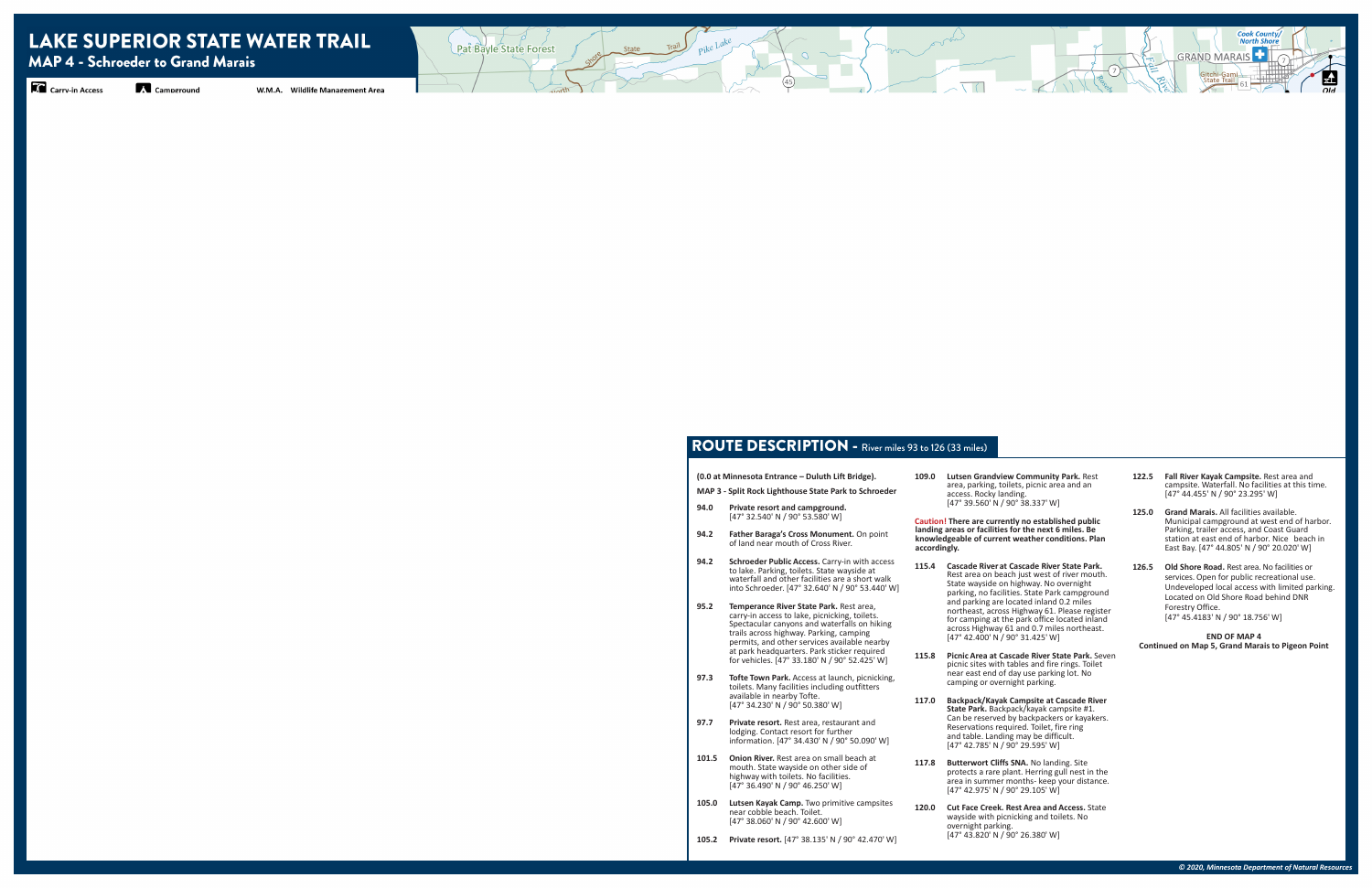### ROUTE DESCRIPTION - River miles 93 to 126 (33 miles)

|      | (0.0 at Minnesota Entrance – Duluth Lift Bridge).<br>MAP 3 - Split Rock Lighthouse State Park to Schroeder                                                                                                                                                                                                                          | 10              |
|------|-------------------------------------------------------------------------------------------------------------------------------------------------------------------------------------------------------------------------------------------------------------------------------------------------------------------------------------|-----------------|
| 94.0 | Private resort and campground.<br>[47° 32.540' N / 90° 53.580' W]                                                                                                                                                                                                                                                                   | Ca              |
| 94.2 | Father Baraga's Cross Monument. On point<br>of land near mouth of Cross River.                                                                                                                                                                                                                                                      | lar<br>kn<br>ac |
| 94.2 | Schroeder Public Access. Carry-in with access<br>to lake. Parking, toilets. State wayside at<br>waterfall and other facilities are a short walk<br>into Schroeder. [47° 32.640' N / 90° 53.440' W]                                                                                                                                  | 11              |
| 95.2 | Temperance River State Park. Rest area,<br>carry-in access to lake, picnicking, toilets.<br>Spectacular canyons and waterfalls on hiking<br>trails across highway. Parking, camping<br>permits, and other services available nearby<br>at park headquarters. Park sticker required<br>for vehicles. [47° 33.180' N / 90° 52.425' W] | 11!             |
| 97.3 | <b>Tofte Town Park.</b> Access at launch, picnicking,<br>toilets. Many facilities including outfitters<br>available in nearby Tofte.                                                                                                                                                                                                | 11'             |

- [47° 34.230' N / 90° 50.380' W] **97.7 Private resort.** Rest area, restaurant and lodging. Contact resort for further information. [47° 34.430' N / 90° 50.090' W]
- **101.5 Onion River.** Rest area on small beach at mouth. State wayside on other side of highway with toilets. No facilities. [47° 36.490' N / 90° 46.250' W]
- 105.0 Lutsen Kayak Camp. Two primitive campsites near cobble beach. Toilet. [47° 38.060' N / 90° 42.600' W]
- **105.2 Private resort.** [47° 38.135' N / 90° 42.470' W]

117.8 Butterwort Cliffs SNA. No landing. Site protects a rare plant. Herring gull nest in the area in summer months- keep your distance.

**120.0 Cut Face Creek. Rest Area and Access.** State wayside with picnicking and toilets. No

**109.0 Lutsen Grandview Community Park.** Rest area, parking, toilets, picnic area and an

**Caution! There are currently no established public landing areas or facilities for the next 6 miles. Be knowledgeable of current weather conditions. Plan** 

**115.4 Cascade River at Cascade River State Park.**  Rest area on beach just west of river mouth. State wayside on highway. No overnight parking, no facilities. State Park campground and parking are located inland 0.2 miles northeast, across Highway 61. Please register for camping at the park office located inland across Highway 61 and 0.7 miles northeast. [47° 42.400' N / 90° 31.425' W]

- access. Rocky landing. [47° 39.560' N / 90° 38.337' W]
- **accordingly.**
	-
	- camping or overnight parking.
	-
	- [47° 42.975' N / 90° 29.105' W]
		- overnight parking. [47° 43.820' N / 90° 26.380' W]

**115.8 Picnic Area at Cascade River State Park.** Seven picnic sites with tables and fire rings. Toilet near east end of day use parking lot. No

**117.0 Backpack/Kayak Campsite at Cascade River State Park.** Backpack/kayak campsite #1. Can be reserved by backpackers or kayakers. Reservations required. Toilet, fire ring and table. Landing may be difficult. [47° 42.785' N / 90° 29.595' W]

**122.5 Fall River Kayak Campsite.** Rest area and campsite. Waterfall. No facilities at this time. [47° 44.455' N / 90° 23.295' W]

**125.0 Grand Marais.** All facilities available. Municipal campground at west end of harbor. Parking, trailer access, and Coast Guard station at east end of harbor. Nice beach in East Bay. [47° 44.805' N / 90° 20.020' W]

**126.5 Old Shore Road.** Rest area. No facilities or services. Open for public recreational use. Undeveloped local access with limited parking. Located on Old Shore Road behind DNR Forestry Office. [47° 45.4183' N / 90° 18.756' W]

**END OF MAP 4 Continued on Map 5, Grand Marais to Pigeon Point**